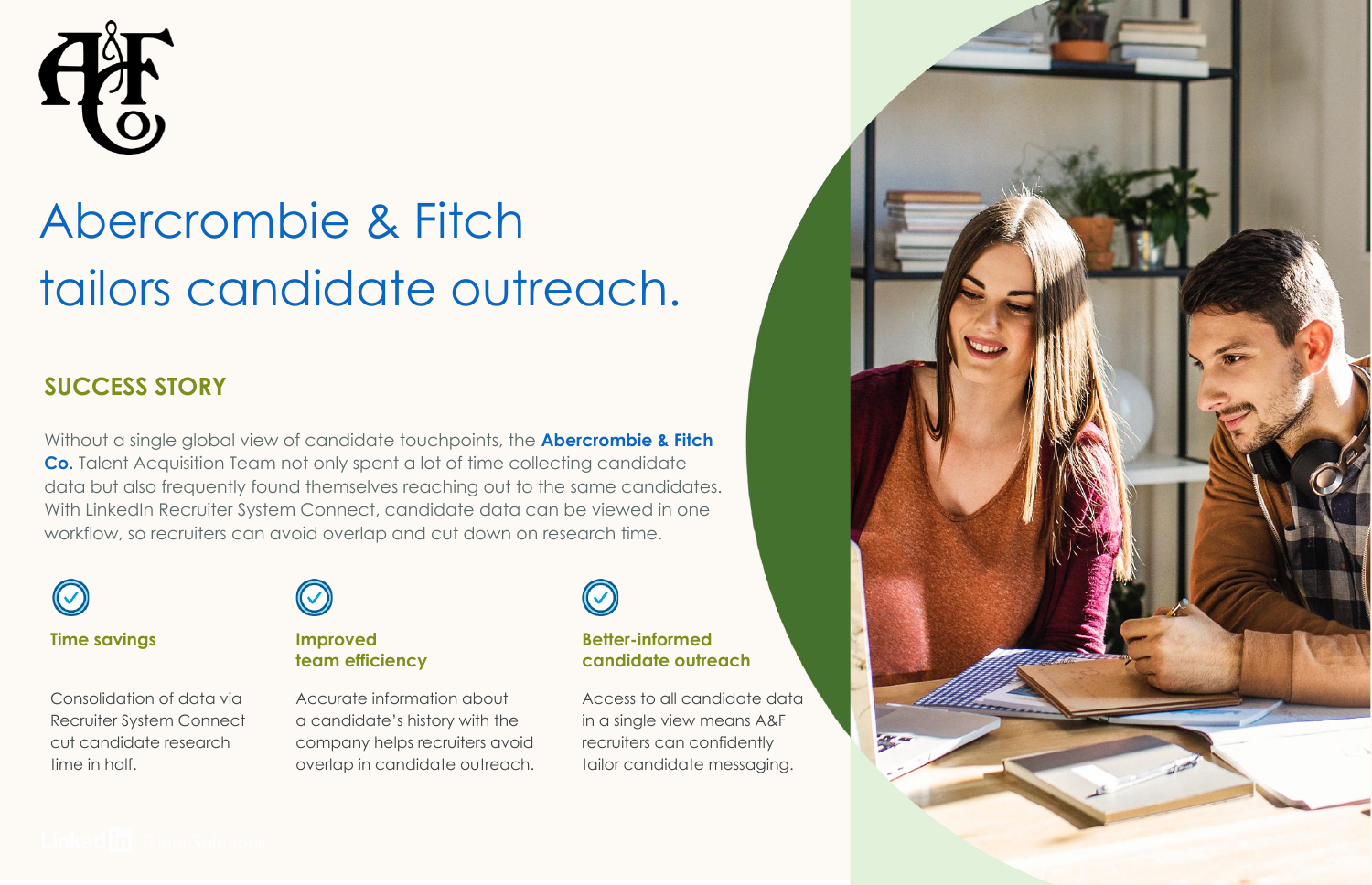

# Abercrombie & Fitch tailors candidate outreach.

### **SUCCESS STORY**

Without a single global view of candidate touchpoints, the **[Abercrombie & Fitch](https://www.linkedin.com/company/abercrombie-&-fitch/)  [Co.](https://www.linkedin.com/company/abercrombie-&-fitch/)** Talent Acquisition Team not only spent a lot of time collecting candidate data but also frequently found themselves reaching out to the same candidates. With LinkedIn Recruiter System Connect, candidate data can be viewed in one workflow, so recruiters can avoid overlap and cut down on research time.



### **Time savings**

Consolidation of data via Recruiter System Connect cut candidate research time in half.



#### **Improved team efficiency**

Accurate information about a candidate's history with the company helps recruiters avoid overlap in candidate outreach.

#### **Better-informed candidate outreach**

Access to all candidate data in a single view means A&F recruiters can confidently tailor candidate messaging.